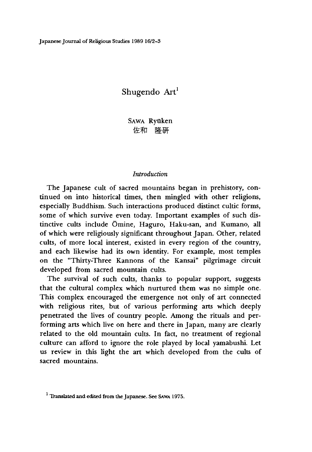Japanese Journal of Religious Studies 1989 16/2-3

# Shugendo Art<sup>1</sup>

SAWA Ryūken 佐和隆研

#### *Introduction*

The Japanese cult of sacred mountains began in prehistory, continued on into historical times, then mingled with other religions, especially Buddhism. Such interactions produced distinct cultic forms, some of which survive even today. Important examples of such distinctive cults include Ōmine, Haguro, Haku-san, and Kumano, all of which were religiously significant throughout Japan. Other, related cults, of more local interest, existed in every region of the country, and each likewise had its own identity. For example, most temples on the "Thirty-Three Kannons of the Kansai" pilgrimage circuit developed from sacred mountain cults.

The survival of such cults, thanks to popular support, suggests that the cultural complex which nurtured them was no simple one. This complex encouraged the emergence not only of art connected with religious rites, but of various performing arts which deeply penetrated the lives of country people. Among the rituals and performing arts which live on here and there in Japan, many are clearly related to the old mountain cults. In fact, no treatment of regional culture can afford to ignore the role played by local yamabushi. Let us review in this light the art which developed from the cults of sacred mountains.

<sup>&</sup>lt;sup>1</sup> Translated and edited from the Japanese. See SAWA 1975.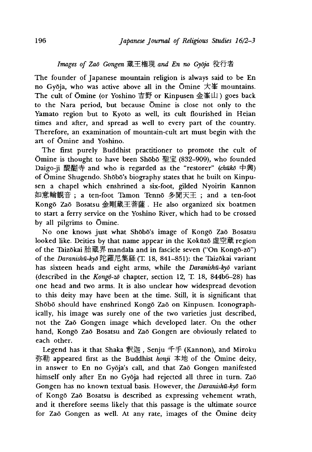## *Images of Zaō Gongen* 蔵王権現 and En no Gyōja 役行者

The founder of Japanese mountain religion is always said to be En no Gyoja, who was active above all in the Omine 大峯 mountains. The cult of Omine (or Yoshino 吉野 or Kinpusen 金峯山) goes back to the Nara period, but because Omine is close not only to the Yamato region but to Kyoto as well, its cult flourished in Heian times and after, and spread as well to every part of the country. Therefore, an examination of mountain-cult art must begin with the art of Omine and Yoshino.

The first purely Buddhist practitioner to promote the cult of  $\overline{\text{O}}$ mine is thought to have been Shōbo 聖宝 (832–909), who founded Daigo-ji 醒醐寺 and who is regarded as the "restorer" *(chuko* 中興) of Ōmine Shugendo. Shōbō's biography states that he built on Kinpusen a chapel which enshrined a six-foot, gilded Nyoirin Kannon 如意輪観音; a ten-foot Tamon Tenno 多聞天王; and a ten-foot Kongo Zao Bosatsu 金剛葳王菩薩. He also organized six boatmen to start a ferry service on the Yoshino River, which had to be crossed by all pilgrims to Omine.

No one knows just what Shobo's image of Kongo Zao Bosatsu looked like. Deities by that name appear in the Kokūzō 虚空蔵 region of the Taizokai 胎蔵界 mandala and in fascicle seven ("On Kong6-z6") of the *Daranishū-kyō* 陀羅尼集経(T. 18, 841-851): the Taizōkai variant has sixteen heads and eight arms, while the *Daranishu-kyd* variant (described in the *Kongo-zo* chapter, section 12, T. 18, 844b6-28) has one head and two arms. It is also unclear how widespread devotion to this deity may have been at the time. Still, it is significant that Shōbō should have enshrined Kongō Zaō on Kinpusen. Iconographically, his image was surely one of the two varieties just described, not the Zao Gongen image which developed later. On the other hand, Kongo Zao Bosatsu and Zao Gongen are obviously related to each other.

Legend has it that Shaka 釈迦, Senju 千手 (Kannon), and Miroku 弥勒 appeared first as the Buddhist *honji* 本地 of the Omine deity, in answer to En no Gy6ja's call, and that Zao Gongen manifested himself only after En no Gyoja had rejected all three in turn. Zao Gongen has no known textual basis. However, the *Daranishu-kyo* form of Kongo Zao Bosatsu is described as expressing vehement wrath, and it therefore seems likely that this passage is the ultimate source for Zao Gongen as well. At any rate, images of the Omine deity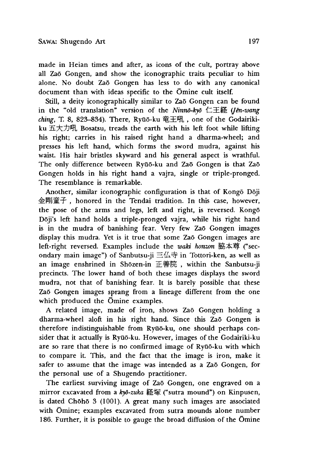made in Heian times and after, as icons of the cult, portray above all Zao Gongen, and show the iconographic traits peculiar to him alone. No doubt Zao Gongen has less to do with any canonical document than with ideas specific to the Omine cult itself.

Still, a deity iconographically similar to Zaō Gongen can be found in the "old translation" version of the *Ninno-kyo* 仁王経 (*[ên-wang* ching, T. 8, 823-834). There, Ryūō-ku 竜王吼, one of the Godairikiku 五大カ吼 Bosatsu, treads the earth with his left foot while lifting his right; carries in his raised right hand a dharma-wheel; and presses his left hand, which forms the sword mudra, against his waist. His hair bristles skyward and his general aspect is wrathful. The only difference between Ryūō-ku and Zaō Gongen is that Zaō Gongen holds in his right hand a vajra, single or triple-pronged. The resemblance is remarkable.

Another, similar iconographic configuration is that of Kongo Doji 金剛童子, honored in the Tendai tradition. In this case, however, the pose of the arms and legs, left and right, is reversed. Kongo D6ji's left hand holds a triple-pronged vajra, while his right hand is in the mudra of banishing fear. Very few Zao Gongen images display this mudra. Yet is it true that some Zao Gongen images are left-right reversed. Examples include the *waki honzon* 脇本尊 ("secondary main image") of Sanbutsu-ji 三仏寺 in Tottori-ken, as well as an image enshrined in Shōzen-in 正善院, within the Sanbutsu-ji precincts. The lower hand of both these images displays the sword mudra, not that of banishing fear. It is barely possible that these Zao Gongen images sprang from a lineage different from the one which produced the Omine examples.

A related image, made of iron, shows Zao Gongen holding a dharma-wheel aloft in his right hand. Since this Zao Gongen is therefore indistinguishable from Ryūō-ku, one should perhaps consider that it actually is Ryūō-ku. However, images of the Godairiki-ku are so rare that there is no confirmed image of Ryūō-ku with which to compare it. This, and the fact that the image is iron, make it safer to assume that the image was intended as a Zaō Gongen, for the personal use of a Shugendo practitioner.

The earliest surviving image of Zaō Gongen, one engraved on a mirror excavated from a kyō-zuka 経塚 ("sutra mound") on Kinpusen, is dated Chōhō 3 (1001). A great many such images are associated with Omine; examples excavated from sutra mounds alone number 186. Further, it is possible to gauge the broad diffusion of the Omine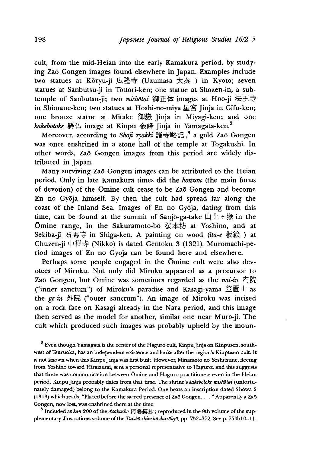cult, from the mid-Heian into the early Kamakura period, by studying Zao Gongen images found elsewhere in Japan. Examples include two statues at Kōryū-ji 広隆寺 (Uzumasa 太秦) in Kyoto; seven statues at Sanbutsu-ji in Tottori-ken; one statue at Shozen-in, a subtemple of Sanbutsu-ji; two *mishdtai* 御正体 images at Hoo-ji 法王寺 in Shimane-ken; two statues at Hoshi-no-miya 星宮 Jinja in Gifu-ken; one bronze statue at Mitake 御嶽 Jinja in Miyagi-ken; and one *kakebotoke* 懸仏 image at Kinpu 金峰 Jinja in Yamagata-ken.2

Moreover, according to *Shoji ryakki* 語寺略記,3 a gold Zao Gongen was once enshrined in a stone hall of the temple at Togakushi. In other words, Zao Gongen images from this period are widely distributed in Japan.

Many surviving Zao Gongen images can be attributed to the Heian period. Only in late Kamakura times did the *honzon* (the main focus of devotion) of the Omine cult cease to be Zao Gongen and become En no Gyoja himself. By then the cult had spread far along the coast of the Inland Sea. Images of En no Gyoja, dating from this time, can be found at the summit of Sanjō-ga-take 山上ヶ嶽 in the Omine range, in the Sakuramoto-bo 桜本坊 at Yoshino, and at Sekiba-ji 石馬寺 in Shiga-ken. A painting on wood (ita-e 板絵) at Chūzen-ji 中禅寺 (Nikkō) is dated Gentoku 3 (1321). Muromachi-period images of En no Gyoja can be found here and elsewhere.

Perhaps some people engaged in the Omine cult were also devotees of Miroku. Not only did Miroku appeared as a precursor to Zao Gongen,but Omine was sometimes regarded as the *nai-in* 内院 ("inner sanctum") of Miroku's paradise and Kasagi-yama 笠置山 as the *ge-in* 外院 ("outer sanctum"). An image of Miroku was incised on a rock face on Kasagi already in the Nara period, and this image then served as the model for another, similar one near Muro-ji. The cult which produced such images was probably upheld by the moun-

<sup>2</sup> Even though Yamagata is the center of the Haguro cult, Kinpu Jinja on Kinpusen, southwest of Tsuruoka, has an independent existence and looks after the region's Kinpusen cult. It is not known when this Kinpu Jinja was first built. However, Minamoto no Yoshitsune, fleeing from Yoshino toward Hiraizumi, sent a personal representative to Haguro; and this suggests that there was communication between Omine and Haguro practitioners even in the Heian period. Kinpu Jinja probably dates from that time. The shrine's *kakebotoke mishdtai* (unfortunately damaged) belong to the Kamakura Period. One bears an inscription dated Showa 2 (1313) which reads, "Placed before the sacred presence of Zao Gongen.. . . " Apparently a Zao Gongen, now lost, was enshrined there at the time.

<sup>3</sup> Included as *kan* 200 of the *Asabashō* 阿婆縛抄 ; reproduced in the 9th volume of the supplementary illustrations volume of the *Taishō shinshū daizōkyō*, pp. 752-772. See p. 759b10-11.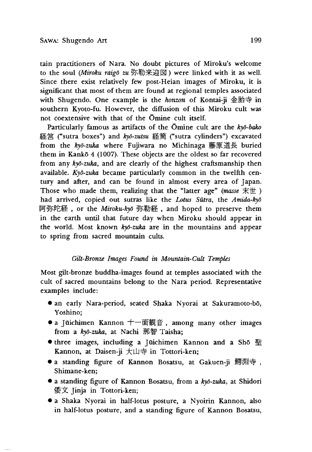tain practitioners of Nara. No doubt pictures of Miroku's welcome to the soul *(Miroku raigo zu* 弥勒来迎図 > were linked with it as well. Since there exist relatively few post-Heian images of Miroku, it is significant that most of them are found at regional temples associated with Shugendo. One example is the *honzon* of Kontai-ji 金胎寺 in southern Kyoto-fu. However, the diffusion of this Miroku cult was not coextensive with that of the Omine cult itself.

Particularly famous as artifacts of the Omine cult are the *kyd-bako* 経 営 ("sutra boxes"〉and *kyd-zutsu* 経 筒 ("sutra cylinders"〉excavated from the *kyd-zuka* where Fujiwara no Michinaga 藤原追長 buried them in Kankō 4 (1007). These objects are the oldest so far recovered from any *kyd-zuka,* and are clearly of the highest craftsmanship then available. *Kyd-zuka* became particularly common in the twelfth century and after, and can be found in almost every area of Japan. Those who made them, realizing that the "latter age" *(masse* 末 世 ) had arrived, copied out sutras like the *Lotus Sutra,* the *Amida-kyd* 阿弥陀経, or the *Miroku-kyō* 弥勒経, and hoped to preserve them in the earth until that future day when Miroku should appear in the world. Most known *kyd-zuka* are in the mountains and appear to spring from sacred mountain cults.

#### *Gilt-Bronze Images Found in Mountain-Cult Temples*

Most gilt-bronze buddha-images found at temples associated with the cult of sacred mountains belong to the Nara period. Representative examples include:

- an early Nara-period, seated Shaka Nyorai at Sakuramoto-bo, Yoshino;
- a Jūichimen Kannon 十一面観音, among many other images from a *kyd-zuka,* at Nachi 那智 Taisha;
- three images, including a Juichimen Kannon and a Sho 聖 Kannon, at Daisen-ji 大山寺 in Tottori-ken;
- a standing figure of Kannon Bosatsu, at Gakuen-ji 鰐淵寺, Shimane-ken;
- a standing figure of Kannon Bosatsu, from a *kyd-zuka,* at Shidori 倭文 Jinja in Tottori-ken;
- a Shaka Nyorai in half-lotus posture, a Nyoirin Kannon, also in half-lotus posture, and a standing figure of Kannon Bosatsu,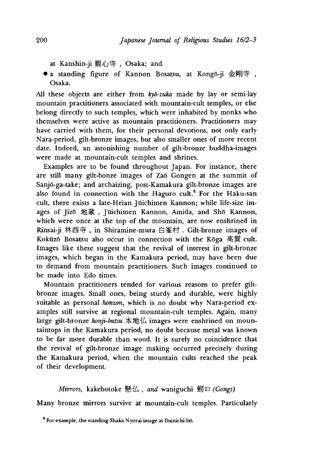- at Kanshin-ji 観心寺, Osaka; and
- a standing figure of Kannon Bosatsu, at Kongō-ji 金剛寺, Osaka.

All these objects are either from *kyd-zuka* made by lay or semi-lay mountain practitioners associated with mountain-cult temples, or else belong directly to such temples, which were inhabited by monks who themselves were active as mountain practitioners. Practitioners may have carried with them, for their personal devotions, not only early Nara-period, gilt-bronze images, but also smaller ones of more recent date. Indeed, an astonishing number of gilt-bronze buddha-images were made at mountain-cult temples and shrines.

Examples are to be found throughout Japan. For instance, there are still many gilt-bonze images of Zao Gongen at the summit of Sanjo-ga-take; and archaizing, post-Kamakura gilt-bronze images are also found in connection with the Haguro cult.<sup>4</sup> For the Haku-san cult, there exists a late-Heian Jüichimen Kannon; while life-size images of Jizō 地蔵, Jūichimen Kannon, Amida, and Shō Kannon, which were once at the top of the mountain, are now enshrined in Rinsai-ji 林西寺, in Shiramine-mura 白峯村. Gilt-bronze images of Kokuzo Bosatsu also occur in connection with the Koga 局賀 cult. Images like these suggest that the revival of interest in gilt-bronze images, which began in the Kamakura period, may have been due to demand from mountain practitioners. Such images continued to be made into Edo times.

Mountain practitioners tended for various reasons to prefer giltbronze images. Small ones, being sturdy and durable, were highly suitable as personal *honzon,* which is no doubt why Nara-period examples still survive at regional mountain-cult temples. Again, many large gilt-bronze *honji-butsu* 本地仏 images were enshrined on mountaintops in the Kamakura period, no doubt because metal was known to be far more durable than wood. It is surely no coincidence that the revival of gilt-bronze image making occurred precisely during the Kamakura period, when the mountain cults reached the peak of their development.

*Mirrors,* kakebotoke 懸 仏 *and* waniguchi 鰾ロ *(Gongs}*

Many bronze mirrors survive at mountain-cult temples. Particularly

<sup>&</sup>lt;sup>4</sup> For example, the standing Shaka Nyorai image at Dainichi-bō.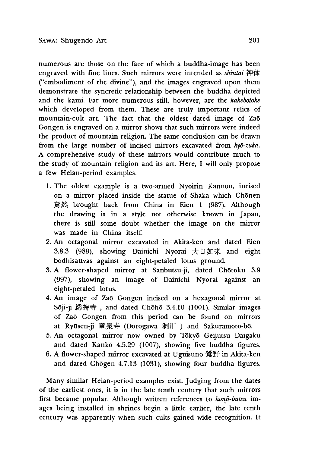numerous are those on the face of which a buddha-image has been engraved with fine lines. Such mirrors were intended as *shintai* 神体 ("embodiment of the divine"), and the images engraved upon them demonstrate the syncretic relationship between the buddha depicted and the kami. Far more numerous still, however, are the *kakebotoke* which developed from them. These are truly important relics of mountain-cult art. The fact that the oldest dated image of Zaō Gongen is engraved on a mirror shows that such mirrors were indeed the product of mountain religion. The same conclusion can be drawn from the large number of incised mirrors excavated from *kyd-zuka.* A comprehensive study of these mirrors would contribute much to the study of mountain religion and its art. Here, I will only propose a few Heian-period examples.

- 1.The oldest example is a two-armed Nyoirin Kannon, incised on a mirror placed inside the statue of Shaka which Chōnen 耷然 brought back from China in Eien 1(987). Although the drawing is in a style not otherwise known in Japan, there is still some doubt whether the image on the mirror was made in China itself.
- 2. An octagonal mirror excavated in Akita-ken and dated Eien 3.8.3 (989), showing Dainichi Nyorai 大曰如来 and eight bodhisattvas against an eight-petaled lotus ground.
- 3. A flower-shaped mirror at Sanbutsu-ji, dated Chōtoku 3.9 (997), showing an image of Dainichi Nyorai against an eight-petaled lotus.
- 4. An image of Zao Gongen incised on a hexagonal mirror at Sōji-ji 総持寺, and dated Chōhō 3.4.10 (1001). Similar images of Zao Gongen from this period can be found on mirrors at Ryūsen-ji 竜泉寺 (Dorogawa 洞川) and Sakuramoto-bō.
- 5. An octagonal mirror now owned by Tōkyō Geijutsu Daigaku and dated Kankō 4.5.29 (1007), showing five buddha figures.
- 6. A flower-shaped mirror excavated at Uguisuno 驚野 in Akita-ken and dated Chogen 4.7.13 (1031), showing four buddha figures.

Many similar Heian-period examples exist. Judging from the dates of the earliest ones, it is in the late tenth century that such mirrors first became popular. Although written references to *konji-butsu* images being installed in shrines begin a little earlier, the late tenth century was apparently when such cults gained wide recognition. It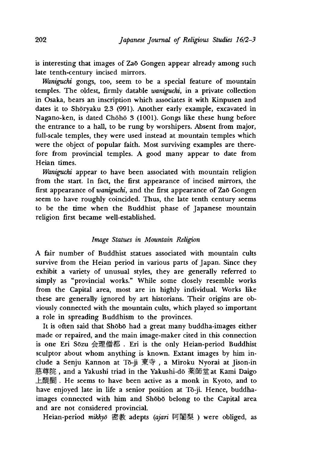is interesting that images of Zao Gongen appear already among such late tenth-century incised mirrors.

*Waniguchi* gongs, too, seem to be a special feature of mountain temples. The oldest, firmly datable *waniguchi,* in a private collection in Osaka, bears an inscription which associates it with Kinpusen and dates it to Shōryaku 2.3 (991). Another early example, excavated in Nagano-ken, is dated Chōhō 3 (1001). Gongs like these hung before the entrance to a hall, to be rung by worshipers. Absent from major, full-scale temples, they were used instead at mountain temples which were the object of popular faith. Most surviving examples are therefore from provincial temples. A good many appear to date from Heian times.

*Waniguchi* appear to have been associated with mountain religion from the start. In fact, the first appearance of incised mirrors, the first appearance of *waniguchi* and the first appearance of Za5 Gongen seem to have roughly coincided. Thus, the late tenth century seems to be the time when the Buddhist phase of Japanese mountain religion first became well-established.

#### *Image Statues in Mountain Religion*

A fair number of Buddhist statues associated with mountain cults survive from the Heian period in various parts of Japan. Since they exhibit a variety of unusual styles, they are generally referred to simply as "provincial works." While some closely resemble works from the Capital area, most are in highly individual. Works like these are generally ignored by art historians. Their origins are obviously connected with the mountain cults, which played so important a role in spreading Buddhism to the provinces.

It is often said that Shōbō had a great many buddha-images either made or repaired, and the main image-maker cited in this connection is one Eri Sōzu 会理僧都. Eri is the only Heian-period Buddhist sculptor about whom anything is known. Extant images by him include a Senju Kannon at Tō-ji 東寺, a Miroku Nyorai at Jison-in 慈尊院,and a Yakushi triad in the Yakushi-do 薬師堂 at Kami Daigo 上醍醐 . He seems to have been active as a monk in Kyoto, and to have enjoyed late in life a senior position at To-ji. Hence, buddhaimages connected with him and Shobo belong to the Capital area and are not considered provincial.

Heian-period *mikkyō* 密教 adepts (ajari 阿闍梨) were obliged, as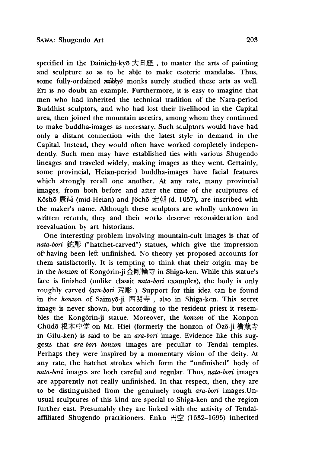specified in the Dainichi-kyō 大日経, to master the arts of painting and sculpture so as to be able to make esoteric mandalas. Thus, some fully-ordained *mikkyd* monks surely studied these arts as well. Eri is no doubt an example. Furthermore, it is easy to imagine that men who had inherited the technical tradition of the Nara-period Buddhist sculptors, and who had lost their livelihood in the Capital area, then joined the mountain ascetics, among whom they continued to make buddha-images as necessary. Such sculptors would have had only a distant connection with the latest style in demand in the Capital. Instead, they would often have worked completely independently. Such men may have established ties with various Shugendo lineages and traveled widely, making images as they went. Certainly, some provincial, Heian-period buddha-images have facial features which strongly recall one another. At any rate, many provincial images, from both before and after the time of the sculptures of Kōshō 康尚 (mid-Heian) and Jōchō 定朝 (d. 1057), are inscribed with the maker's name. Although these sculptors are wholly unknown in written records, they and their works deserve reconsideration and reevaluation by art historians.

One interesting problem involving mountain-cult images is that of nata-bori 鉈彫 ("hatchet-carved") statues, which give the impression of' having been left; unfinished. No theory yet proposed accounts for them satisfactorily. It is tempting to think that their origin may be in the *honzon* of Kong6rin-ji 金剛輪寺 in Shiga-ken. While this statue's face is finished (unlike classic *nata-bori* examples), the body is only roughly carved *(ara-bori* 荒彫). Support for this idea can be found in the *honzon* of Saimyō-ji 西明寺, also in Shiga-ken. This secret image is never shown, but according to the resident priest it resembles the Kongorin-ji statue. Moreover, the *honzm* of the Konpon Chūdō 根本中堂 on Mt. Hiei (formerly the honzon of Ōzō-ji 横蔵寺 in Gifu-ken) is said to be an *ara-bon* image. Evidence like this suggests that *ara-bori honzm* images are peculiar to Tendai temples. Perhaps they were inspired by a momentary vision of the deity. At any rate, the hatchet strokes which form the "unfinished" body of *nata-bori* images are both careful and regular. Thus, *nata-bon* images are apparently not really unfinished. In that respect, then, they are to be distinguished from the genuinely rough ara-bori images. Unusual sculptures of this kind are special to Shiga-ken and the region further east. Presumably they are linked with the activity of Tendaiaffiliated Shugendo practitioners. Enkū 円空 (1632-1695) inherited